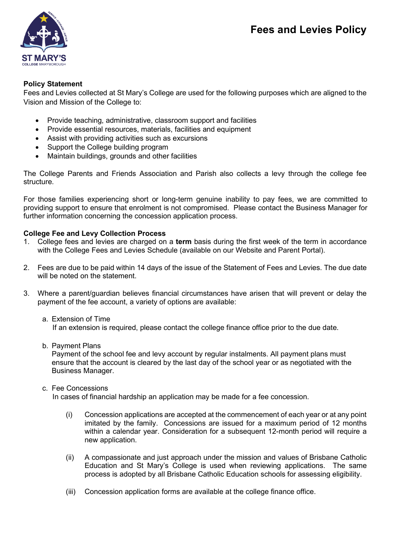

# **Policy Statement**

Fees and Levies collected at St Mary's College are used for the following purposes which are aligned to the Vision and Mission of the College to:

- Provide teaching, administrative, classroom support and facilities
- Provide essential resources, materials, facilities and equipment
- Assist with providing activities such as excursions
- Support the College building program
- Maintain buildings, grounds and other facilities

The College Parents and Friends Association and Parish also collects a levy through the college fee structure.

For those families experiencing short or long-term genuine inability to pay fees, we are committed to providing support to ensure that enrolment is not compromised. Please contact the Business Manager for further information concerning the concession application process.

# **College Fee and Levy Collection Process**

- 1. College fees and levies are charged on a **term** basis during the first week of the term in accordance with the College Fees and Levies Schedule (available on our Website and Parent Portal).
- 2. Fees are due to be paid within 14 days of the issue of the Statement of Fees and Levies. The due date will be noted on the statement.
- 3. Where a parent/guardian believes financial circumstances have arisen that will prevent or delay the payment of the fee account, a variety of options are available:
	- a. Extension of Time If an extension is required, please contact the college finance office prior to the due date.
	- b. Payment Plans

Payment of the school fee and levy account by regular instalments. All payment plans must ensure that the account is cleared by the last day of the school year or as negotiated with the Business Manager.

c. Fee Concessions

In cases of financial hardship an application may be made for a fee concession.

- (i) Concession applications are accepted at the commencement of each year or at any point imitated by the family. Concessions are issued for a maximum period of 12 months within a calendar year. Consideration for a subsequent 12-month period will require a new application.
- (ii) A compassionate and just approach under the mission and values of Brisbane Catholic Education and St Mary's College is used when reviewing applications. The same process is adopted by all Brisbane Catholic Education schools for assessing eligibility.
- (iii) Concession application forms are available at the college finance office.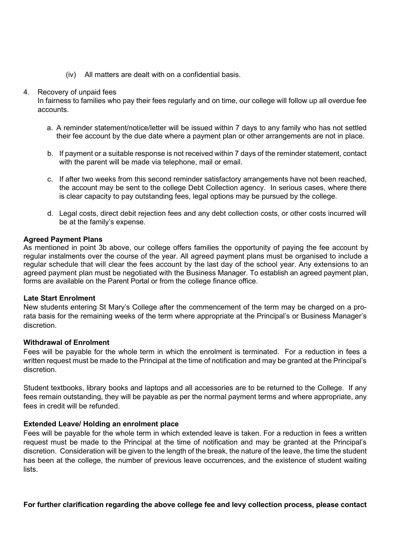(iv) All matters are dealt with on a confidential basis.

### 4. Recovery of unpaid fees

In fairness to families who pay their fees regularly and on time, our college will follow up all overdue fee accounts.

- a. A reminder statement/notice/letter will be issued within 7 days to any family who has not settled their fee account by the due date where a payment plan or other arrangements are not in place.
- b. If payment or a suitable response is not received within 7 days of the reminder statement, contact with the parent will be made via telephone, mail or email.
- c. If after two weeks from this second reminder satisfactory arrangements have not been reached, the account may be sent to the college Debt Collection agency. In serious cases, where there is clear capacity to pay outstanding fees, legal options may be pursued by the college.
- d. Legal costs, direct debit rejection fees and any debt collection costs, or other costs incurred will be at the family's expense.

## **Agreed Payment Plans**

As mentioned in point 3b above, our college offers families the opportunity of paying the fee account by regular instalments over the course of the year. All agreed payment plans must be organised to include a regular schedule that will clear the fees account by the last day of the school year. Any extensions to an agreed payment plan must be negotiated with the Business Manager. To establish an agreed payment plan, forms are available on the Parent Portal or from the college finance office.

### **Late Start Enrolment**

New students entering St Mary's College after the commencement of the term may be charged on a prorata basis for the remaining weeks of the term where appropriate at the Principal's or Business Manager's discretion.

### **Withdrawal of Enrolment**

Fees will be payable for the whole term in which the enrolment is terminated. For a reduction in fees a written request must be made to the Principal at the time of notification and may be granted at the Principal's discretion.

Student textbooks, library books and laptops and all accessories are to be returned to the College. If any fees remain outstanding, they will be payable as per the normal payment terms and where appropriate, any fees in credit will be refunded.

## **Extended Leave/ Holding an enrolment place**

Fees will be payable for the whole term in which extended leave is taken. For a reduction in fees a written request must be made to the Principal at the time of notification and may be granted at the Principal's discretion. Consideration will be given to the length of the break, the nature of the leave, the time the student has been at the college, the number of previous leave occurrences, and the existence of student waiting lists.

**For further clarification regarding the above college fee and levy collection process, please contact**